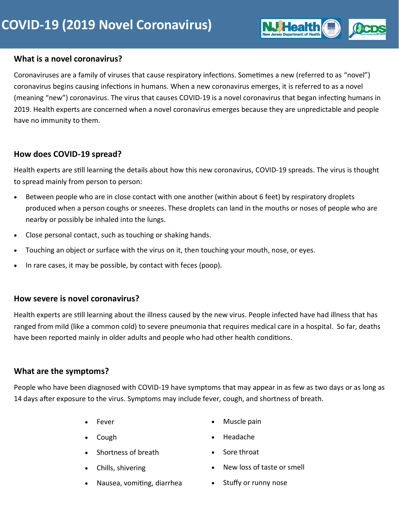#### **What is a novel coronavirus?**

Coronaviruses are a family of viruses that cause respiratory infections. Sometimes a new (referred to as "novel") coronavirus begins causing infections in humans. When a new coronavirus emerges, it is referred to as a novel (meaning "new") coronavirus. The virus that causes COVID-19 is a novel coronavirus that began infecting humans in 2019. Health experts are concerned when a novel coronavirus emerges because they are unpredictable and people have no immunity to them.

## **How does COVID-19 spread?**

Health experts are still learning the details about how this new coronavirus, COVID-19 spreads. The virus is thought to spread mainly from person to person:

- Between people who are in close contact with one another (within about 6 feet) by respiratory droplets produced when a person coughs or sneezes. These droplets can land in the mouths or noses of people who are nearby or possibly be inhaled into the lungs.
- Close personal contact, such as touching or shaking hands.
- Touching an object or surface with the virus on it, then touching your mouth, nose, or eyes.
- In rare cases, it may be possible, by contact with feces (poop).

## **How severe is novel coronavirus?**

Health experts are still learning about the illness caused by the new virus. People infected have had illness that has ranged from mild (like a common cold) to severe pneumonia that requires medical care in a hospital. So far, deaths have been reported mainly in older adults and people who had other health conditions.

## **What are the symptoms?**

People who have been diagnosed with COVID-19 have symptoms that may appear in as few as two days or as long as 14 days after exposure to the virus. Symptoms may include fever, cough, and shortness of breath.

- Fever
- Cough
- Shortness of breath
- Chills, shivering
- Nausea, vomiting, diarrhea
- Muscle pain
- Headache
- Sore throat
- New loss of taste or smell
- Stuffy or runny nose